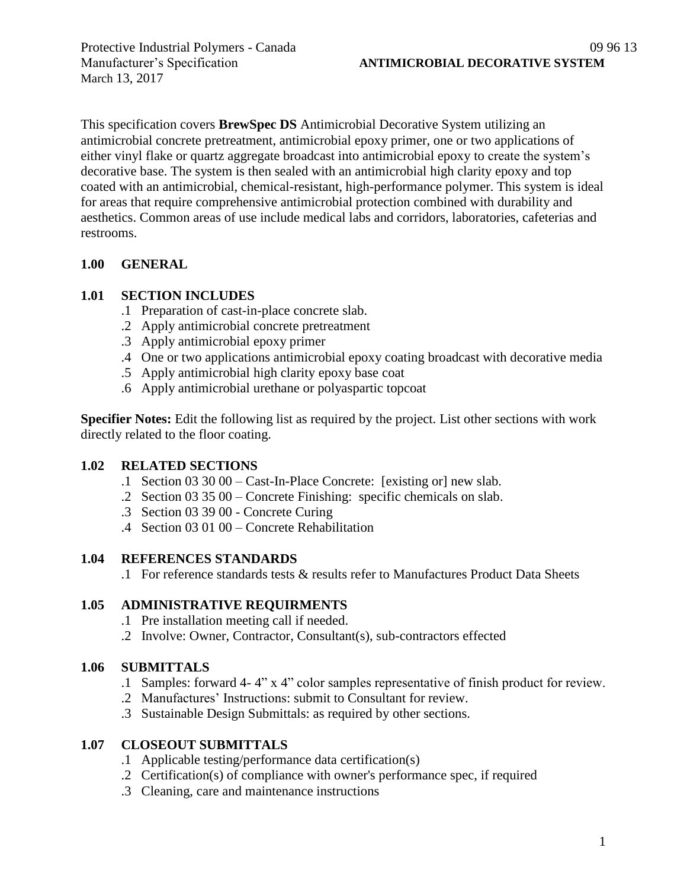March 13, 2017

This specification covers **BrewSpec DS** Antimicrobial Decorative System utilizing an antimicrobial concrete pretreatment, antimicrobial epoxy primer, one or two applications of either vinyl flake or quartz aggregate broadcast into antimicrobial epoxy to create the system's decorative base. The system is then sealed with an antimicrobial high clarity epoxy and top coated with an antimicrobial, chemical-resistant, high-performance polymer. This system is ideal for areas that require comprehensive antimicrobial protection combined with durability and aesthetics. Common areas of use include medical labs and corridors, laboratories, cafeterias and restrooms.

# **1.00 GENERAL**

# **1.01 SECTION INCLUDES**

- .1 Preparation of cast-in-place concrete slab.
- .2 Apply antimicrobial concrete pretreatment
- .3 Apply antimicrobial epoxy primer
- .4 One or two applications antimicrobial epoxy coating broadcast with decorative media
- .5 Apply antimicrobial high clarity epoxy base coat
- .6 Apply antimicrobial urethane or polyaspartic topcoat

**Specifier Notes:** Edit the following list as required by the project. List other sections with work directly related to the floor coating.

# **1.02 RELATED SECTIONS**

- .1 Section 03 30 00 Cast-In-Place Concrete: [existing or] new slab.
- .2 Section 03 35 00 Concrete Finishing: specific chemicals on slab.
- .3 Section 03 39 00 Concrete Curing
- .4 Section 03 01 00 Concrete Rehabilitation

# **1.04 REFERENCES STANDARDS**

.1 For reference standards tests & results refer to Manufactures Product Data Sheets

# **1.05 ADMINISTRATIVE REQUIRMENTS**

- .1 Pre installation meeting call if needed.
- .2 Involve: Owner, Contractor, Consultant(s), sub-contractors effected

# **1.06 SUBMITTALS**

- .1 Samples: forward 4- 4" x 4" color samples representative of finish product for review.
- .2 Manufactures' Instructions: submit to Consultant for review.
- .3 Sustainable Design Submittals: as required by other sections.

# **1.07 CLOSEOUT SUBMITTALS**

- .1 Applicable testing/performance data certification(s)
- .2 Certification(s) of compliance with owner's performance spec, if required
- .3 Cleaning, care and maintenance instructions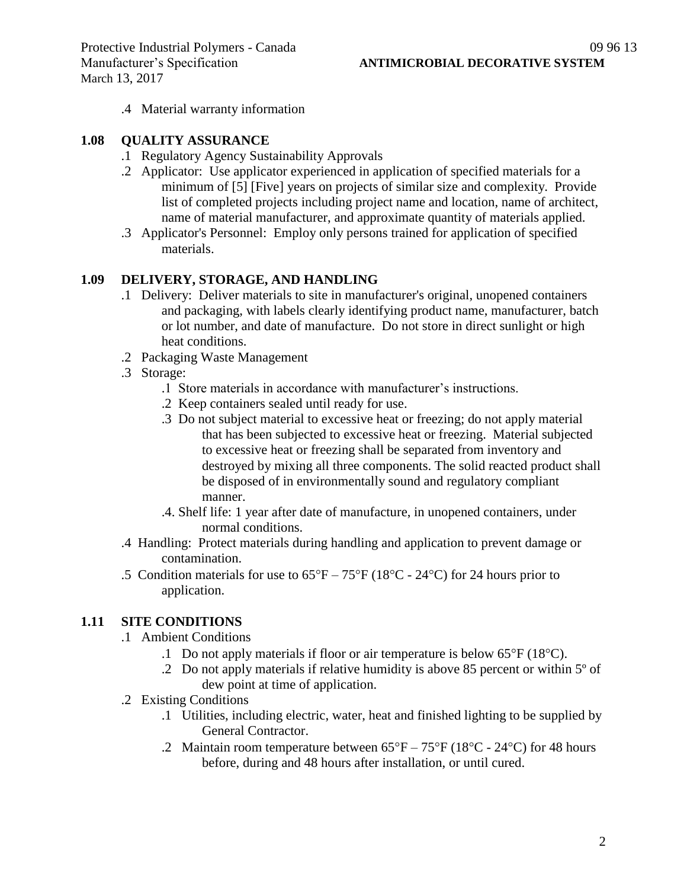.4 Material warranty information

#### **1.08 QUALITY ASSURANCE**

- .1 Regulatory Agency Sustainability Approvals
- .2 Applicator: Use applicator experienced in application of specified materials for a minimum of [5] [Five] years on projects of similar size and complexity. Provide list of completed projects including project name and location, name of architect, name of material manufacturer, and approximate quantity of materials applied.
- .3 Applicator's Personnel: Employ only persons trained for application of specified materials.

#### **1.09 DELIVERY, STORAGE, AND HANDLING**

- .1 Delivery: Deliver materials to site in manufacturer's original, unopened containers and packaging, with labels clearly identifying product name, manufacturer, batch or lot number, and date of manufacture. Do not store in direct sunlight or high heat conditions.
- .2 Packaging Waste Management
- .3 Storage:
	- .1 Store materials in accordance with manufacturer's instructions.
	- .2 Keep containers sealed until ready for use.
	- .3 Do not subject material to excessive heat or freezing; do not apply material that has been subjected to excessive heat or freezing. Material subjected to excessive heat or freezing shall be separated from inventory and destroyed by mixing all three components. The solid reacted product shall be disposed of in environmentally sound and regulatory compliant manner.
	- .4. Shelf life: 1 year after date of manufacture, in unopened containers, under normal conditions.
- .4 Handling: Protect materials during handling and application to prevent damage or contamination.
- .5 Condition materials for use to  $65^{\circ}F 75^{\circ}F (18^{\circ}C 24^{\circ}C)$  for 24 hours prior to application.

# **1.11 SITE CONDITIONS**

- .1 Ambient Conditions
	- .1 Do not apply materials if floor or air temperature is below  $65^{\circ}F(18^{\circ}C)$ .
	- .2 Do not apply materials if relative humidity is above 85 percent or within 5º of dew point at time of application.
- .2 Existing Conditions
	- .1 Utilities, including electric, water, heat and finished lighting to be supplied by General Contractor.
	- .2 Maintain room temperature between  $65^{\circ}F 75^{\circ}F (18^{\circ}C 24^{\circ}C)$  for 48 hours before, during and 48 hours after installation, or until cured.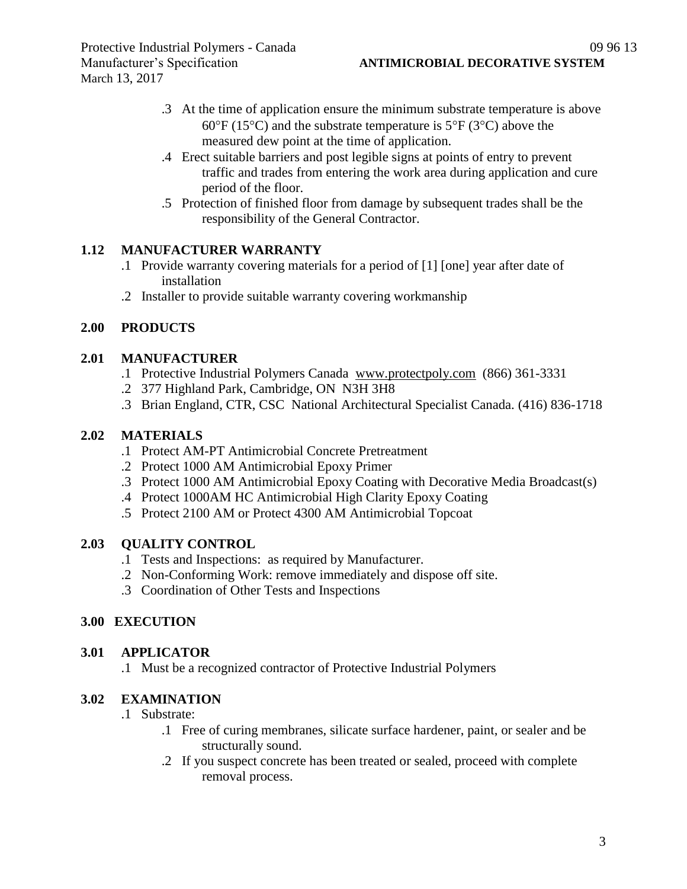- .3 At the time of application ensure the minimum substrate temperature is above 60 $\degree$ F (15 $\degree$ C) and the substrate temperature is 5 $\degree$ F (3 $\degree$ C) above the measured dew point at the time of application.
- .4 Erect suitable barriers and post legible signs at points of entry to prevent traffic and trades from entering the work area during application and cure period of the floor.
- .5 Protection of finished floor from damage by subsequent trades shall be the responsibility of the General Contractor.

# **1.12 MANUFACTURER WARRANTY**

- .1 Provide warranty covering materials for a period of [1] [one] year after date of installation
- .2 Installer to provide suitable warranty covering workmanship

# **2.00 PRODUCTS**

#### **2.01 MANUFACTURER**

- .1 Protective Industrial Polymers Canada [www.protectpoly.com](http://www.protectpoly.com/) (866) 361-3331
- .2 377 Highland Park, Cambridge, ON N3H 3H8
- .3 Brian England, CTR, CSC National Architectural Specialist Canada. (416) 836-1718

#### **2.02 MATERIALS**

- .1 Protect AM-PT Antimicrobial Concrete Pretreatment
- .2 Protect 1000 AM Antimicrobial Epoxy Primer
- .3 Protect 1000 AM Antimicrobial Epoxy Coating with Decorative Media Broadcast(s)
- .4 Protect 1000AM HC Antimicrobial High Clarity Epoxy Coating
- .5 Protect 2100 AM or Protect 4300 AM Antimicrobial Topcoat

# **2.03 QUALITY CONTROL**

- .1 Tests and Inspections: as required by Manufacturer.
- .2 Non-Conforming Work: remove immediately and dispose off site.
- .3 Coordination of Other Tests and Inspections

# **3.00 EXECUTION**

#### **3.01 APPLICATOR**

.1 Must be a recognized contractor of Protective Industrial Polymers

## **3.02 EXAMINATION**

- .1 Substrate:
	- .1 Free of curing membranes, silicate surface hardener, paint, or sealer and be structurally sound.
	- .2 If you suspect concrete has been treated or sealed, proceed with complete removal process.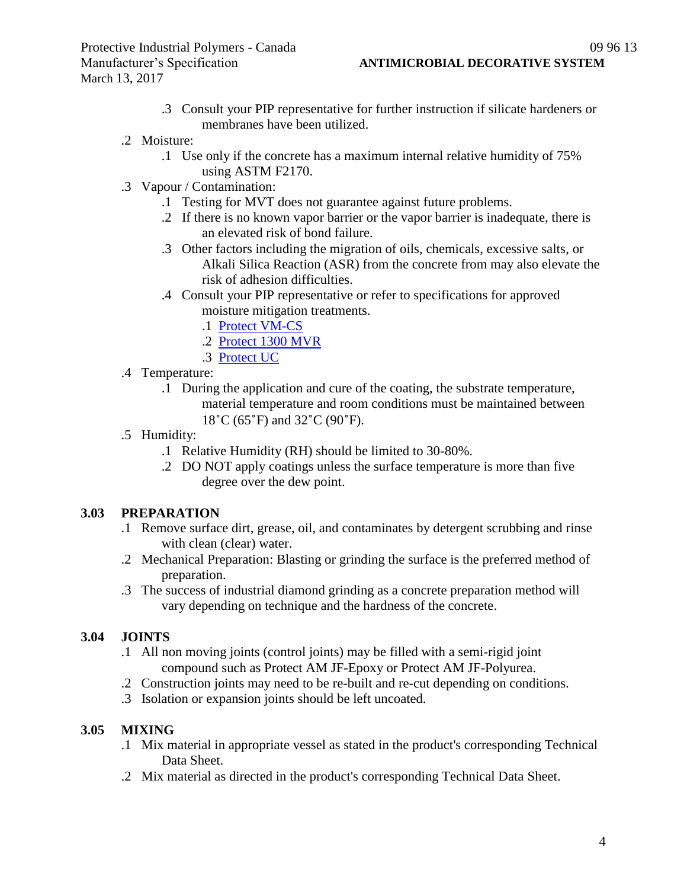- .3 Consult your PIP representative for further instruction if silicate hardeners or membranes have been utilized.
- .2 Moisture:
	- .1 Use only if the concrete has a maximum internal relative humidity of 75% using ASTM F2170.
- .3 Vapour / Contamination:
	- .1 Testing for MVT does not guarantee against future problems.
	- .2 If there is no known vapor barrier or the vapor barrier is inadequate, there is an elevated risk of bond failure.
	- .3 Other factors including the migration of oils, chemicals, excessive salts, or Alkali Silica Reaction (ASR) from the concrete from may also elevate the risk of adhesion difficulties.
	- .4 Consult your PIP representative or refer to specifications for approved moisture mitigation treatments.
		- .1 [Protect VM-CS](http://www.protectiveindustrialpolymers.com/Upload/Canadian%20Specs/Moisture%20Mitigation%20Spec%20-%20VM-CS%20(CANADIAN).pdf)
		- .2 [Protect 1300 MVR](http://www.protectiveindustrialpolymers.com/Upload/Canadian%20Specs/Moisture%20Mitigation%20Spec%20-%201300MVR%20(CANADIAN).pdf)
		- .3 [Protect UC](http://www.protectiveindustrialpolymers.com/Upload/Canadian%20Specs/Moisture%20Mitigation%20Spec%20-%20UC%20(CANADIAN).pdf)
- .4 Temperature:
	- .1 During the application and cure of the coating, the substrate temperature, material temperature and room conditions must be maintained between 18˚C (65˚F) and 32˚C (90˚F).
- .5 Humidity:
	- .1 Relative Humidity (RH) should be limited to 30-80%.
	- .2 DO NOT apply coatings unless the surface temperature is more than five degree over the dew point.

# **3.03 PREPARATION**

- .1 Remove surface dirt, grease, oil, and contaminates by detergent scrubbing and rinse with clean (clear) water.
- .2 Mechanical Preparation: Blasting or grinding the surface is the preferred method of preparation.
- .3 The success of industrial diamond grinding as a concrete preparation method will vary depending on technique and the hardness of the concrete.

# **3.04 JOINTS**

- .1 All non moving joints (control joints) may be filled with a semi-rigid joint compound such as Protect AM JF-Epoxy or Protect AM JF-Polyurea.
- .2 Construction joints may need to be re-built and re-cut depending on conditions.
- .3 Isolation or expansion joints should be left uncoated.

# **3.05 MIXING**

- .1 Mix material in appropriate vessel as stated in the product's corresponding Technical Data Sheet.
- .2 Mix material as directed in the product's corresponding Technical Data Sheet.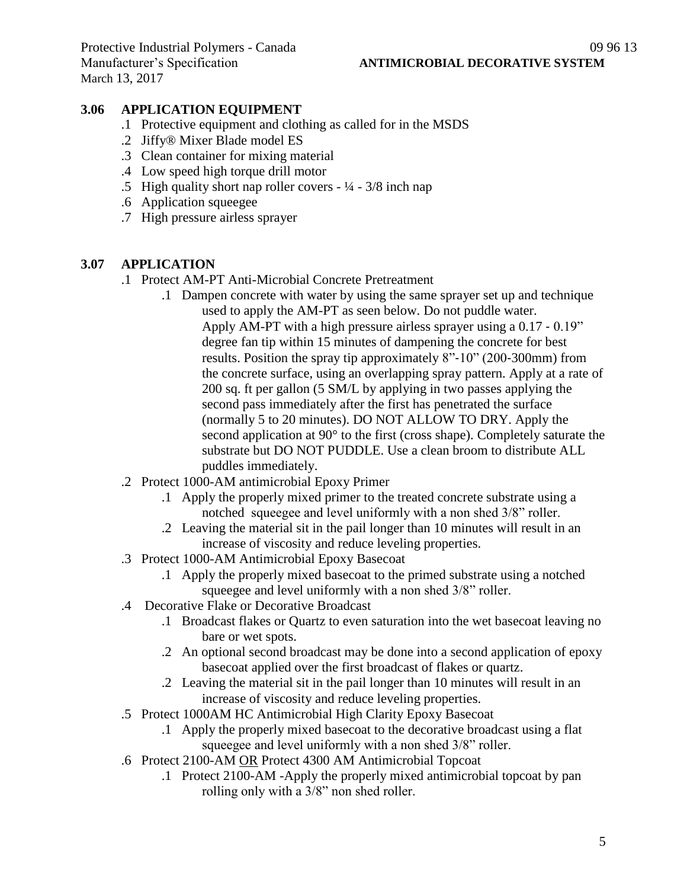### **3.06 APPLICATION EQUIPMENT**

- .1 Protective equipment and clothing as called for in the MSDS
- .2 Jiffy® Mixer Blade model ES
- .3 Clean container for mixing material
- .4 Low speed high torque drill motor
- .5 High quality short nap roller covers  $\frac{1}{4} \frac{3}{8}$  inch nap
- .6 Application squeegee
- .7 High pressure airless sprayer

#### **3.07 APPLICATION**

- .1 Protect AM-PT Anti-Microbial Concrete Pretreatment
	- .1 Dampen concrete with water by using the same sprayer set up and technique used to apply the AM-PT as seen below. Do not puddle water. Apply AM-PT with a high pressure airless sprayer using a 0.17 ‐ 0.19" degree fan tip within 15 minutes of dampening the concrete for best results. Position the spray tip approximately 8"‐10" (200‐300mm) from the concrete surface, using an overlapping spray pattern. Apply at a rate of 200 sq. ft per gallon (5 SM/L by applying in two passes applying the second pass immediately after the first has penetrated the surface (normally 5 to 20 minutes). DO NOT ALLOW TO DRY. Apply the second application at 90° to the first (cross shape). Completely saturate the substrate but DO NOT PUDDLE. Use a clean broom to distribute ALL puddles immediately.
- .2 Protect 1000-AM antimicrobial Epoxy Primer
	- .1 Apply the properly mixed primer to the treated concrete substrate using a notched squeegee and level uniformly with a non shed 3/8" roller.
	- .2 Leaving the material sit in the pail longer than 10 minutes will result in an increase of viscosity and reduce leveling properties.
- .3 Protect 1000-AM Antimicrobial Epoxy Basecoat
	- .1 Apply the properly mixed basecoat to the primed substrate using a notched squeegee and level uniformly with a non shed 3/8" roller.
- .4 Decorative Flake or Decorative Broadcast
	- .1 Broadcast flakes or Quartz to even saturation into the wet basecoat leaving no bare or wet spots.
	- .2 An optional second broadcast may be done into a second application of epoxy basecoat applied over the first broadcast of flakes or quartz.
	- .2 Leaving the material sit in the pail longer than 10 minutes will result in an increase of viscosity and reduce leveling properties.
- .5 Protect 1000AM HC Antimicrobial High Clarity Epoxy Basecoat
	- .1 Apply the properly mixed basecoat to the decorative broadcast using a flat squeegee and level uniformly with a non shed 3/8" roller.
- .6 Protect 2100-AM OR Protect 4300 AM Antimicrobial Topcoat
	- .1 Protect 2100-AM -Apply the properly mixed antimicrobial topcoat by pan rolling only with a 3/8" non shed roller.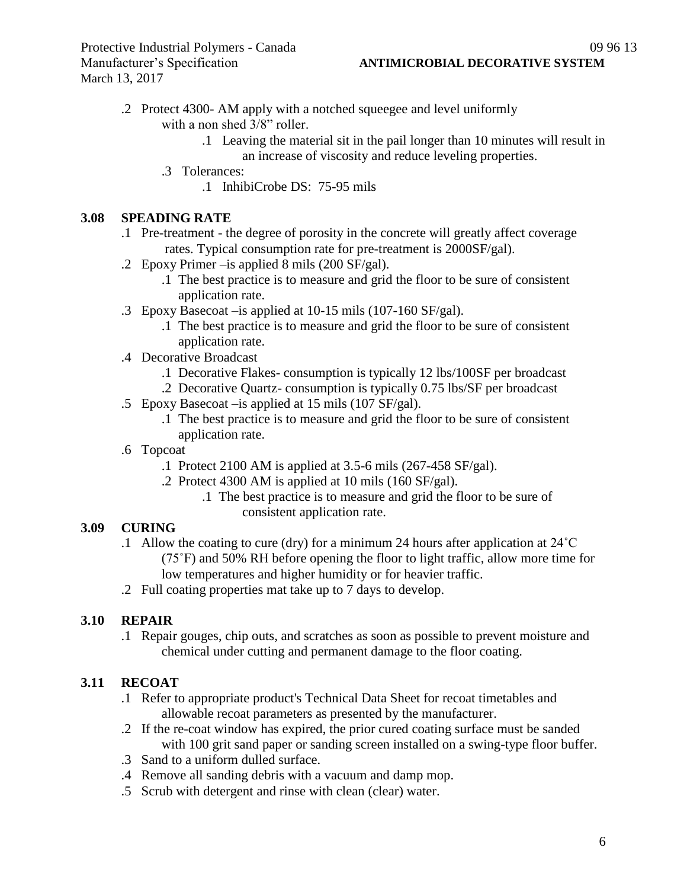- .2 Protect 4300- AM apply with a notched squeegee and level uniformly with a non shed  $3/8$ " roller.
	- .1 Leaving the material sit in the pail longer than 10 minutes will result in an increase of viscosity and reduce leveling properties.
	- .3 Tolerances:
		- .1 InhibiCrobe DS: 75-95 mils

#### **3.08 SPEADING RATE**

- .1 Pre-treatment the degree of porosity in the concrete will greatly affect coverage rates. Typical consumption rate for pre-treatment is 2000SF/gal).
- .2 Epoxy Primer –is applied 8 mils (200 SF/gal).
	- .1 The best practice is to measure and grid the floor to be sure of consistent application rate.
- .3 Epoxy Basecoat –is applied at 10-15 mils (107-160 SF/gal).
	- .1 The best practice is to measure and grid the floor to be sure of consistent application rate.
- .4 Decorative Broadcast
	- .1 Decorative Flakes- consumption is typically 12 lbs/100SF per broadcast
	- .2 Decorative Quartz- consumption is typically 0.75 lbs/SF per broadcast
- .5 Epoxy Basecoat –is applied at 15 mils (107 SF/gal).
	- .1 The best practice is to measure and grid the floor to be sure of consistent application rate.
- .6 Topcoat
	- .1 Protect 2100 AM is applied at 3.5-6 mils (267-458 SF/gal).
	- .2 Protect 4300 AM is applied at 10 mils (160 SF/gal).
		- .1 The best practice is to measure and grid the floor to be sure of consistent application rate.

# **3.09 CURING**

- .1 Allow the coating to cure (dry) for a minimum 24 hours after application at 24˚C (75˚F) and 50% RH before opening the floor to light traffic, allow more time for low temperatures and higher humidity or for heavier traffic.
- .2 Full coating properties mat take up to 7 days to develop.

# **3.10 REPAIR**

.1 Repair gouges, chip outs, and scratches as soon as possible to prevent moisture and chemical under cutting and permanent damage to the floor coating.

# **3.11 RECOAT**

- .1 Refer to appropriate product's Technical Data Sheet for recoat timetables and allowable recoat parameters as presented by the manufacturer.
- .2 If the re-coat window has expired, the prior cured coating surface must be sanded with 100 grit sand paper or sanding screen installed on a swing-type floor buffer.
- .3 Sand to a uniform dulled surface.
- .4 Remove all sanding debris with a vacuum and damp mop.
- .5 Scrub with detergent and rinse with clean (clear) water.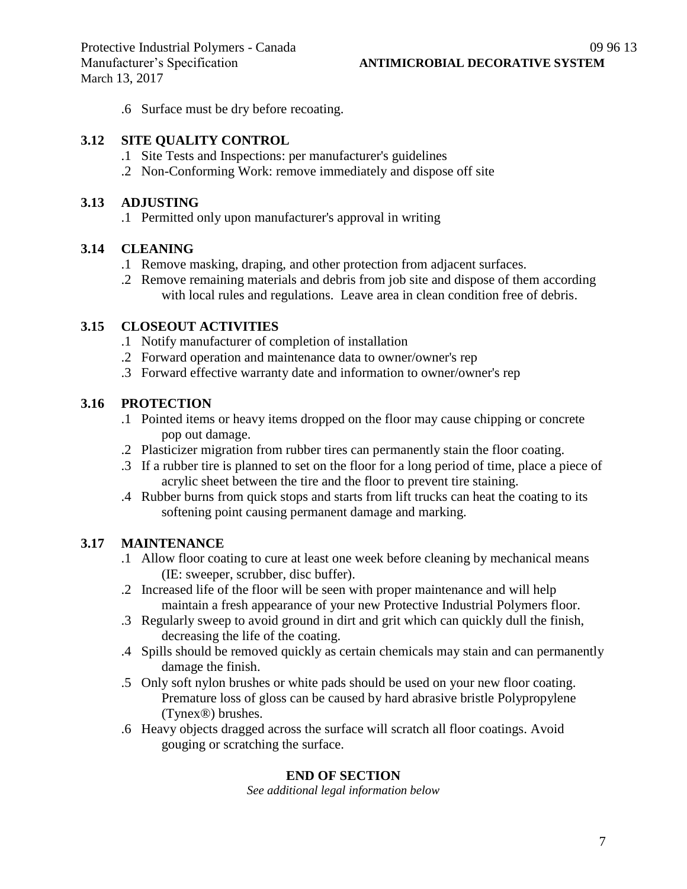.6 Surface must be dry before recoating.

#### **3.12 SITE QUALITY CONTROL**

- .1 Site Tests and Inspections: per manufacturer's guidelines
- .2 Non-Conforming Work: remove immediately and dispose off site

#### **3.13 ADJUSTING**

.1 Permitted only upon manufacturer's approval in writing

#### **3.14 CLEANING**

- .1 Remove masking, draping, and other protection from adjacent surfaces.
- .2 Remove remaining materials and debris from job site and dispose of them according with local rules and regulations. Leave area in clean condition free of debris.

#### **3.15 CLOSEOUT ACTIVITIES**

- .1 Notify manufacturer of completion of installation
- .2 Forward operation and maintenance data to owner/owner's rep
- .3 Forward effective warranty date and information to owner/owner's rep

### **3.16 PROTECTION**

- .1 Pointed items or heavy items dropped on the floor may cause chipping or concrete pop out damage.
- .2 Plasticizer migration from rubber tires can permanently stain the floor coating.
- .3 If a rubber tire is planned to set on the floor for a long period of time, place a piece of acrylic sheet between the tire and the floor to prevent tire staining.
- .4 Rubber burns from quick stops and starts from lift trucks can heat the coating to its softening point causing permanent damage and marking.

#### **3.17 MAINTENANCE**

- .1 Allow floor coating to cure at least one week before cleaning by mechanical means (IE: sweeper, scrubber, disc buffer).
- .2 Increased life of the floor will be seen with proper maintenance and will help maintain a fresh appearance of your new Protective Industrial Polymers floor.
- .3 Regularly sweep to avoid ground in dirt and grit which can quickly dull the finish, decreasing the life of the coating.
- .4 Spills should be removed quickly as certain chemicals may stain and can permanently damage the finish.
- .5 Only soft nylon brushes or white pads should be used on your new floor coating. Premature loss of gloss can be caused by hard abrasive bristle Polypropylene (Tynex®) brushes.
- .6 Heavy objects dragged across the surface will scratch all floor coatings. Avoid gouging or scratching the surface.

#### **END OF SECTION**

*See additional legal information below*